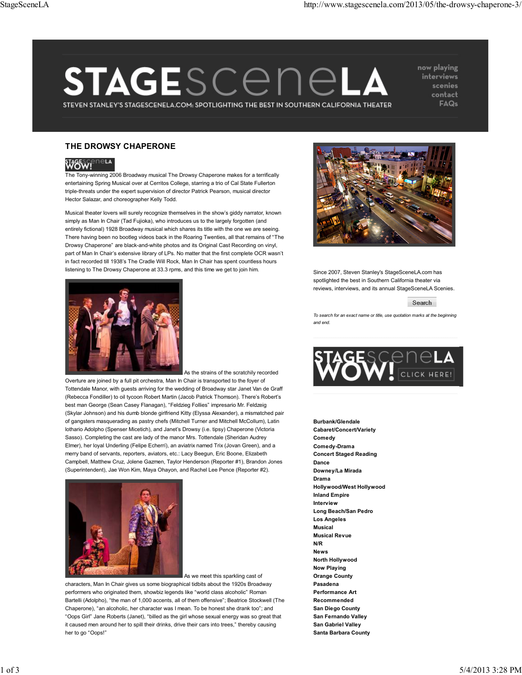## STAGESCENEL STEVEN STANLEY'S STAGESCENELA.COM: SPOTLIGHTING THE BEST IN SOUTHERN CALIFORNIA THEATER

now playing interviews scenies contact FAQs

## **THE DROWSY CHAPERONE**



The Tony-winning 2006 Broadway musical The Drowsy Chaperone makes for a terrifically entertaining Spring Musical over at Cerritos College, starring a trio of Cal State Fullerton triple-threats under the expert supervision of director Patrick Pearson, musical director Hector Salazar, and choreographer Kelly Todd.

Musical theater lovers will surely recognize themselves in the show's giddy narrator, known simply as Man In Chair (Tad Fujioka), who introduces us to the largely forgotten (and entirely fictional) 1928 Broadway musical which shares its title with the one we are seeing. There having been no bootleg videos back in the Roaring Twenties, all that remains of "The Drowsy Chaperone" are black-and-white photos and its Original Cast Recording on vinyl, part of Man In Chair's extensive library of LPs. No matter that the first complete OCR wasn't in fact recorded till 1938's The Cradle Will Rock, Man In Chair has spent countless hours listening to The Drowsy Chaperone at 33.3 rpms, and this time we get to join him.



As the strains of the scratchily recorded

Overture are joined by a full pit orchestra, Man In Chair is transported to the foyer of Tottendale Manor, with guests arriving for the wedding of Broadway star Janet Van de Graff (Rebecca Fondiller) to oil tycoon Robert Martin (Jacob Patrick Thomson). There's Robert's best man George (Sean Casey Flanagan), "Feldzieg Follies" impresario Mr. Feldzeig (Skylar Johnson) and his dumb blonde girlfriend Kitty (Elyssa Alexander), a mismatched pair of gangsters masquerading as pastry chefs (Mitchell Turner and Mitchell McCollum), Latin lothario Adolpho (Spenser Micetich), and Janet's Drowsy (i.e. tipsy) Chaperone (Victoria Sasso). Completing the cast are lady of the manor Mrs. Tottendale (Sheridan Audrey Elmer), her loyal Underling (Felipe Echerrí), an aviatrix named Trix (Jovan Green), and a merry band of servants, reporters, aviators, etc.: Lacy Beegun, Eric Boone, Elizabeth Campbell, Matthew Cruz, Jolene Gazmen, Taylor Henderson (Reporter #1), Brandon Jones (Superintendent), Jae Won Kim, Maya Ohayon, and Rachel Lee Pence (Reporter #2).



As we meet this sparkling cast of

characters, Man In Chair gives us some biographical tidbits about the 1920s Broadway performers who originated them, showbiz legends like "world class alcoholic" Roman Bartelli (Adolpho), "the man of 1,000 accents, all of them offensive"; Beatrice Stockwell (The Chaperone), "an alcoholic, her character was I mean. To be honest she drank too"; and "Oops Girl" Jane Roberts (Janet), "billed as the girl whose sexual energy was so great that it caused men around her to spill their drinks, drive their cars into trees," thereby causing her to go "Oops!"



Since 2007, Steven Stanley's StageSceneLA.com has spotlighted the best in Southern California theater via reviews, interviews, and its annual StageSceneLA Scenies.



*To search for an exact name or title, use quotation marks at the beginning and end.*



**Burbank/Glendale Cabaret/Concert/Variety Comedy Comedy-Drama Concert Staged Reading Dance Downey/La Mirada Drama Hollywood/West Hollywood Inland Empire Interview Long Beach/San Pedro Los Angeles Musical Musical Revue N/R News North Hollywood Now Playing Orange County Pasadena Performance Art Recommended San Diego County San Fernando Valley San Gabriel Valley Santa Barbara County**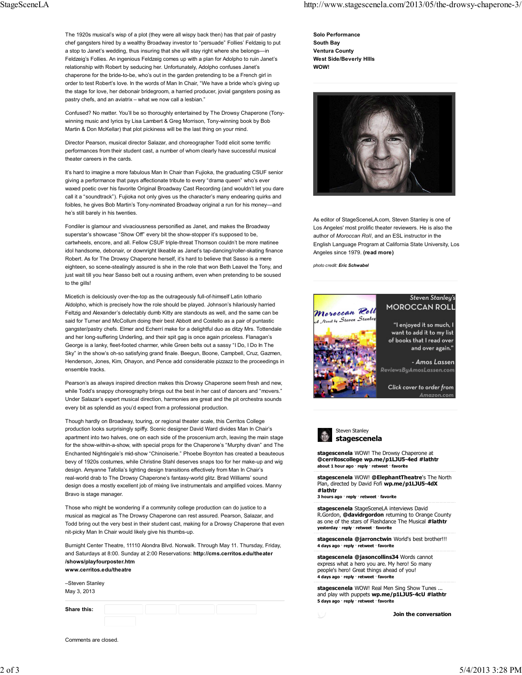The 1920s musical's wisp of a plot (they were all wispy back then) has that pair of pastry chef gangsters hired by a wealthy Broadway investor to "persuade" Follies' Feldzeig to put a stop to Janet's wedding, thus insuring that she will stay right where she belongs—in Feldzeig's Follies. An ingenious Feldzeig comes up with a plan for Adolpho to ruin Janet's relationship with Robert by seducing her. Unfortunately, Adolpho confuses Janet's chaperone for the bride-to-be, who's out in the garden pretending to be a French girl in order to test Robert's love. In the words of Man In Chair, "We have a bride who's giving up the stage for love, her debonair bridegroom, a harried producer, jovial gangsters posing as pastry chefs, and an aviatrix – what we now call a lesbian."

Confused? No matter. You'll be so thoroughly entertained by The Drowsy Chaperone (Tonywinning music and lyrics by Lisa Lambert & Greg Morrison, Tony-winning book by Bob Martin & Don McKellar) that plot pickiness will be the last thing on your mind.

Director Pearson, musical director Salazar, and choreographer Todd elicit some terrific performances from their student cast, a number of whom clearly have successful musical theater careers in the cards.

It's hard to imagine a more fabulous Man In Chair than Fujioka, the graduating CSUF senior giving a performance that pays affectionate tribute to every "drama queen" who's ever waxed poetic over his favorite Original Broadway Cast Recording (and wouldn't let you dare call it a "soundtrack"). Fujioka not only gives us the character's many endearing quirks and foibles, he gives Bob Martin's Tony-nominated Broadway original a run for his money—and he's still barely in his twenties.

Fondiler is glamour and vivaciousness personified as Janet, and makes the Broadway superstar's showcase "Show Off" every bit the show-stopper it's supposed to be, cartwheels, encore, and all. Fellow CSUF triple-threat Thomson couldn't be more matinee idol handsome, debonair, or downright likeable as Janet's tap-dancing/roller-skating finance Robert. As for The Drowsy Chaperone herself, it's hard to believe that Sasso is a mere eighteen, so scene-stealingly assured is she in the role that won Beth Leavel the Tony, and just wait till you hear Sasso belt out a rousing anthem, even when pretending to be soused to the gills!

Micetich is deliciously over-the-top as the outrageously full-of-himself Latin lothario Aldolpho, which is precisely how the role should be played. Johnson's hilariously harried Feltzig and Alexander's delectably dumb Kitty are standouts as well, and the same can be said for Turner and McCollum doing their best Abbott and Costello as a pair of puntastic gangster/pastry chefs. Elmer and Echerrí make for a delightful duo as ditzy Mrs. Tottendale and her long-suffering Underling, and their spit gag is once again priceless. Flanagan's George is a lanky, fleet-footed charmer, while Green belts out a sassy "I Do, I Do In The Sky" in the show's oh-so satisfying grand finale. Beegun, Boone, Campbell, Cruz, Gazmen, Henderson, Jones, Kim, Ohayon, and Pence add considerable pizzazz to the proceedings in ensemble tracks.

Pearson's as always inspired direction makes this Drowsy Chaperone seem fresh and new, while Todd's snappy choreography brings out the best in her cast of dancers and "movers." Under Salazar's expert musical direction, harmonies are great and the pit orchestra sounds every bit as splendid as you'd expect from a professional production.

Though hardly on Broadway, touring, or regional theater scale, this Cerritos College production looks surprisingly spiffy. Scenic designer David Ward divides Man In Chair's apartment into two halves, one on each side of the proscenium arch, leaving the main stage for the show-within-a-show, with special props for the Chaperone's "Murphy divan" and The Enchanted Nightingale's mid-show "Chinoiserie." Phoebe Boynton has created a beauteous bevy of 1920s costumes, while Christine Stahl deserves snaps too for her make-up and wig design. Amyanne Tafolla's lighting design transitions effectively from Man In Chair's real-world drab to The Drowsy Chaperone's fantasy-world glitz. Brad Williams' sound design does a mostly excellent job of mixing live instrumentals and amplified voices. Manny Bravo is stage manager.

Those who might be wondering if a community college production can do justice to a musical as magical as The Drowsy Chaperone can rest assured. Pearson, Salazar, and Todd bring out the very best in their student cast, making for a Drowsy Chaperone that even nit-picky Man In Chair would likely give his thumbs-up.

Burnight Center Theatre, 11110 Alondra Blvd. Norwalk. Through May 11. Thursday, Friday, and Saturdays at 8:00. Sunday at 2:00 Reservations: **http://cms.cerritos.edu/theater /shows/playfourposter.htm www.cerritos.edu/theatre**

–Steven Stanley May 3, 2013

**Share this:**



**Solo Performance South Bay Ventura County West Side/Beverly HIlls WOW!**



As editor of StageSceneLA.com, Steven Stanley is one of Los Angeles' most prolific theater reviewers. He is also the author of *Moroccan Roll*, and an ESL instructor in the English Language Program at California State University, Los Angeles since 1979. **(read more)**

*photo credit: Eric Schwabel*





**stagescenela** WOW! The Drowsy Chaperone at **@cerritoscollege wp.me/p1LJU5-4ed #lathtr about 1 hour ago** · **reply** · **retweet** · **favorite**

**stagescenela** WOW! **@ElephantTheatre**'s The North Plan, directed by David Fofi **wp.me/p1LJU5-4dX #lathtr**

**3 hours ago** · **reply** · **retweet** · **favorite**

**stagescenela** StageSceneLA interviews David R.Gordon, **@davidrgordon** returning to Orange County as one of the stars of Flashdance The Musical **#lathtr yesterday** · **reply** · **retweet** · **favorite**

**stagescenela @jarronctwin** World's best brother!!! **4 days ago** · **reply** · **retweet** · **favorite**

**stagescenela @jasoncollins34** Words cannot express what a hero you are. My hero! So many people's hero! Great things ahead of you! **4 days ago** · **reply** · **retweet** · **favorite**

**stagescenela** WOW! Real Men Sing Show Tunes ... and play with puppets **wp.me/p1LJU5-4cU #lathtr 5 days ago** · **reply** · **retweet** · **favorite**

**Join the conversation**

Comments are closed.